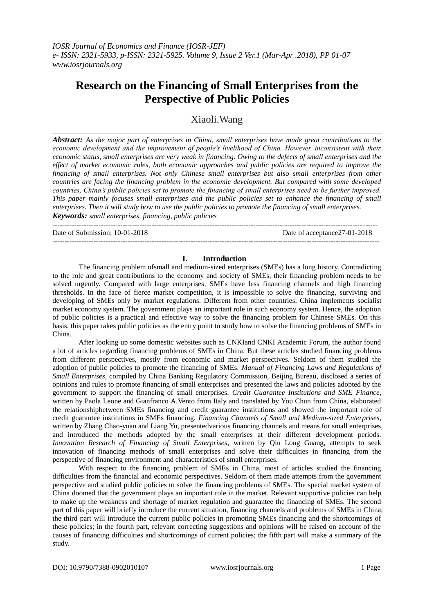# **Research on the Financing of Small Enterprises from the Perspective of Public Policies**

Xiaoli.Wang

*Abstract: As the major part of enterprises in China, small enterprises have made great contributions to the economic development and the improvement of people's livelihood of China. However, inconsistent with their economic status, small enterprises are very weak in financing. Owing to the defects of small enterprises and the effect of market economic rules, both economic approaches and public policies are required to improve the financing of small enterprises. Not only Chinese small enterprises but also small enterprises from other countries are facing the financing problem in the economic development. But compared with some developed countries, China's public policies set to promote the financing of small enterprises need to be further improved. This paper mainly focuses small enterprises and the public policies set to enhance the financing of small enterprises. Then it will study how to use the public policies to promote the financing of small enterprises. Keywords: small enterprises, financing, public policies*

Date of Submission: 10-01-2018 Date of acceptance 27-01-2018

--------------------------------------------------------------------------------------------------------------------------------------

#### **I. Introduction**

---------------------------------------------------------------------------------------------------------------------------------------

The financing problem ofsmall and medium-sized enterprises (SMEs) has a long history. Contradicting to the role and great contributions to the economy and society of SMEs, their financing problem needs to be solved urgently. Compared with large enterprises, SMEs have less financing channels and high financing thresholds. In the face of fierce market competition, it is impossible to solve the financing, surviving and developing of SMEs only by market regulations. Different from other countries, China implements socialist market economy system. The government plays an important role in such economy system. Hence, the adoption of public policies is a practical and effective way to solve the financing problem for Chinese SMEs. On this basis, this paper takes public policies as the entry point to study how to solve the financing problems of SMEs in China.

After looking up some domestic websites such as CNKIand CNKI Academic Forum, the author found a lot of articles regarding financing problems of SMEs in China. But these articles studied financing problems from different perspectives, mostly from economic and market perspectives. Seldom of them studied the adoption of public policies to promote the financing of SMEs. *Manual of Financing Laws and Regulations of Small Enterprises*, compiled by China Banking Regulatory Commission, Beijing Bureau, disclosed a series of opinions and rules to promote financing of small enterprises and presented the laws and policies adopted by the government to support the financing of small enterprises. *Credit Guarantee Institutions and SME Finance*, written by Paola Leone and Gianfranco A.Vento from Italy and translated by You Chun from China, elaborated the relationshipbetween SMEs financing and credit guarantee institutions and showed the important role of credit guarantee institutions in SMEs financing. *Financing Channels of Small and Medium-sized Enterprises*, written by Zhang Chao-yuan and Liang Yu, presentedvarious financing channels and means for small enterprises, and introduced the methods adopted by the small enterprises at their different development periods. *Innovation Research of Financing of Small Enterprises*, written by Qiu Long Guang, attempts to seek innovation of financing methods of small enterprises and solve their difficulties in financing from the perspective of financing environment and characteristics of small enterprises.

With respect to the financing problem of SMEs in China, most of articles studied the financing difficulties from the financial and economic perspectives. Seldom of them made attempts from the government perspective and studied public policies to solve the financing problems of SMEs. The special market system of China doomed that the government plays an important role in the market. Relevant supportive policies can help to make up the weakness and shortage of market regulation and guarantee the financing of SMEs. The second part of this paper will briefly introduce the current situation, financing channels and problems of SMEs in China; the third part will introduce the current public policies in promoting SMEs financing and the shortcomings of these policies; in the fourth part, relevant correcting suggestions and opinions will be raised on account of the causes of financing difficulties and shortcomings of current policies; the fifth part will make a summary of the study.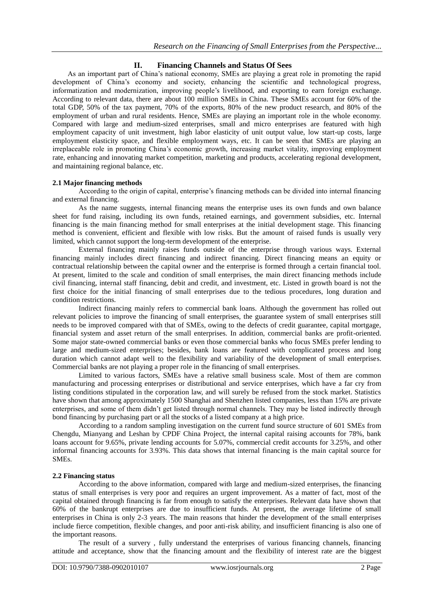# **II. Financing Channels and Status Of Sees**

As an important part of China's national economy, SMEs are playing a great role in promoting the rapid development of China's economy and society, enhancing the scientific and technological progress, informatization and modernization, improving people's livelihood, and exporting to earn foreign exchange. According to relevant data, there are about 100 million SMEs in China. These SMEs account for 60% of the total GDP, 50% of the tax payment, 70% of the exports, 80% of the new product research, and 80% of the employment of urban and rural residents. Hence, SMEs are playing an important role in the whole economy. Compared with large and medium-sized enterprises, small and micro enterprises are featured with high employment capacity of unit investment, high labor elasticity of unit output value, low start-up costs, large employment elasticity space, and flexible employment ways, etc. It can be seen that SMEs are playing an irreplaceable role in promoting China's economic growth, increasing market vitality, improving employment rate, enhancing and innovating market competition, marketing and products, accelerating regional development, and maintaining regional balance, etc.

## **2.1 Major financing methods**

According to the origin of capital, enterprise's financing methods can be divided into internal financing and external financing.

As the name suggests, internal financing means the enterprise uses its own funds and own balance sheet for fund raising, including its own funds, retained earnings, and government subsidies, etc. Internal financing is the main financing method for small enterprises at the initial development stage. This financing method is convenient, efficient and flexible with low risks. But the amount of raised funds is usually very limited, which cannot support the long-term development of the enterprise.

External financing mainly raises funds outside of the enterprise through various ways. External financing mainly includes direct financing and indirect financing. Direct financing means an equity or contractual relationship between the capital owner and the enterprise is formed through a certain financial tool. At present, limited to the scale and condition of small enterprises, the main direct financing methods include civil financing, internal staff financing, debit and credit, and investment, etc. Listed in growth board is not the first choice for the initial financing of small enterprises due to the tedious procedures, long duration and condition restrictions.

Indirect financing mainly refers to commercial bank loans. Although the government has rolled out relevant policies to improve the financing of small enterprises, the guarantee system of small enterprises still needs to be improved compared with that of SMEs, owing to the defects of credit guarantee, capital mortgage, financial system and asset return of the small enterprises. In addition, commercial banks are profit-oriented. Some major state-owned commercial banks or even those commercial banks who focus SMEs prefer lending to large and medium-sized enterprises; besides, bank loans are featured with complicated process and long duration which cannot adapt well to the flexibility and variability of the development of small enterprises. Commercial banks are not playing a proper role in the financing of small enterprises.

Limited to various factors, SMEs have a relative small business scale. Most of them are common manufacturing and processing enterprises or distributional and service enterprises, which have a far cry from listing conditions stipulated in the corporation law, and will surely be refused from the stock market. Statistics have shown that among approximately 1500 Shanghai and Shenzhen listed companies, less than 15% are private enterprises, and some of them didn't get listed through normal channels. They may be listed indirectly through bond financing by purchasing part or all the stocks of a listed company at a high price.

According to a random sampling investigation on the current fund source structure of 601 SMEs from Chengdu, Mianyang and Leshan by CPDF China Project, the internal capital raising accounts for 78%, bank loans account for 9.65%, private lending accounts for 5.07%, commercial credit accounts for 3.25%, and other informal financing accounts for 3.93%. This data shows that internal financing is the main capital source for SMEs.

## **2.2 Financing status**

According to the above information, compared with large and medium-sized enterprises, the financing status of small enterprises is very poor and requires an urgent improvement. As a matter of fact, most of the capital obtained through financing is far from enough to satisfy the enterprises. Relevant data have shown that 60% of the bankrupt enterprises are due to insufficient funds. At present, the average lifetime of small enterprises in China is only 2-3 years. The main reasons that hinder the development of the small enterprises include fierce competition, flexible changes, and poor anti-risk ability, and insufficient financing is also one of the important reasons.

The result of a survery , fully understand the enterprises of various financing channels, financing attitude and acceptance, show that the financing amount and the flexibility of interest rate are the biggest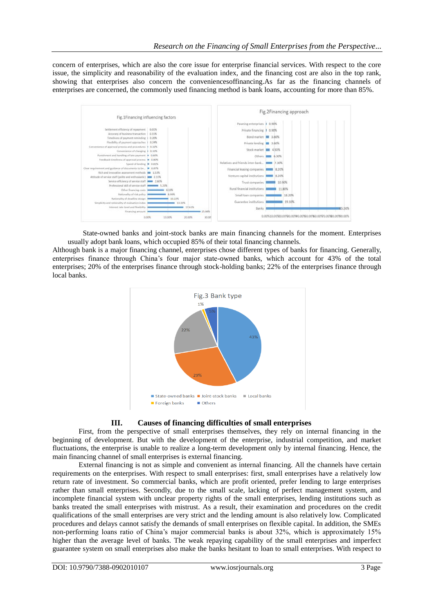concern of enterprises, which are also the core issue for enterprise financial services. With respect to the core issue, the simplicity and reasonability of the evaluation index, and the financing cost are also in the top rank, showing that enterprises also concern the conveniencesoffinancing.As far as the financing channels of enterprises are concerned, the commonly used financing method is bank loans, accounting for more than 85%.



State-owned banks and joint-stock banks are main financing channels for the moment. Enterprises usually adopt bank loans, which occupied 85% of their total financing channels.

Although bank is a major financing channel, enterprises chose different types of banks for financing. Generally, enterprises finance through China's four major state-owned banks, which account for 43% of the total enterprises; 20% of the enterprises finance through stock-holding banks; 22% of the enterprises finance through local banks.



# **III. Causes of financing difficulties of small enterprises**

First, from the perspective of small enterprises themselves, they rely on internal financing in the beginning of development. But with the development of the enterprise, industrial competition, and market fluctuations, the enterprise is unable to realize a long-term development only by internal financing. Hence, the main financing channel of small enterprises is external financing.

External financing is not as simple and convenient as internal financing. All the channels have certain requirements on the enterprises. With respect to small enterprises: first, small enterprises have a relatively low return rate of investment. So commercial banks, which are profit oriented, prefer lending to large enterprises rather than small enterprises. Secondly, due to the small scale, lacking of perfect management system, and incomplete financial system with unclear property rights of the small enterprises, lending institutions such as banks treated the small enterprises with mistrust. As a result, their examination and procedures on the credit qualifications of the small enterprises are very strict and the lending amount is also relatively low. Complicated procedures and delays cannot satisfy the demands of small enterprises on flexible capital. In addition, the SMEs non-performing loans ratio of China's major commercial banks is about 32%, which is approximately 15% higher than the average level of banks. The weak repaying capability of the small enterprises and imperfect guarantee system on small enterprises also make the banks hesitant to loan to small enterprises. With respect to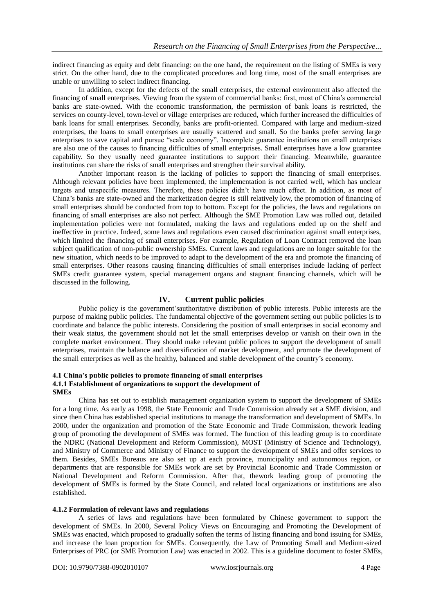indirect financing as equity and debt financing: on the one hand, the requirement on the listing of SMEs is very strict. On the other hand, due to the complicated procedures and long time, most of the small enterprises are unable or unwilling to select indirect financing.

In addition, except for the defects of the small enterprises, the external environment also affected the financing of small enterprises. Viewing from the system of commercial banks: first, most of China's commercial banks are state-owned. With the economic transformation, the permission of bank loans is restricted, the services on county-level, town-level or village enterprises are reduced, which further increased the difficulties of bank loans for small enterprises. Secondly, banks are profit-oriented. Compared with large and medium-sized enterprises, the loans to small enterprises are usually scattered and small. So the banks prefer serving large enterprises to save capital and pursue "scale economy". Incomplete guarantee institutions on small enterprises are also one of the causes to financing difficulties of small enterprises. Small enterprises have a low guarantee capability. So they usually need guarantee institutions to support their financing. Meanwhile, guarantee institutions can share the risks of small enterprises and strengthen their survival ability.

Another important reason is the lacking of policies to support the financing of small enterprises. Although relevant policies have been implemented, the implementation is not carried well, which has unclear targets and unspecific measures. Therefore, these policies didn't have much effect. In addition, as most of China's banks are state-owned and the marketization degree is still relatively low, the promotion of financing of small enterprises should be conducted from top to bottom. Except for the policies, the laws and regulations on financing of small enterprises are also not perfect. Although the SME Promotion Law was rolled out, detailed implementation policies were not formulated, making the laws and regulations ended up on the shelf and ineffective in practice. Indeed, some laws and regulations even caused discrimination against small enterprises, which limited the financing of small enterprises. For example, Regulation of Loan Contract removed the loan subject qualification of non-public ownership SMEs. Current laws and regulations are no longer suitable for the new situation, which needs to be improved to adapt to the development of the era and promote the financing of small enterprises. Other reasons causing financing difficulties of small enterprises include lacking of perfect SMEs credit guarantee system, special management organs and stagnant financing channels, which will be discussed in the following.

# **IV. Current public policies**

Public policy is the government'sauthoritative distribution of public interests. Public interests are the purpose of making public policies. The fundamental objective of the government setting out public policies is to coordinate and balance the public interests. Considering the position of small enterprises in social economy and their weak status, the government should not let the small enterprises develop or vanish on their own in the complete market environment. They should make relevant public polices to support the development of small enterprises, maintain the balance and diversification of market development, and promote the development of the small enterprises as well as the healthy, balanced and stable development of the country's economy.

#### **4.1 China's public policies to promote financing of small enterprises 4.1.1 Establishment of organizations to support the development of SMEs**

China has set out to establish management organization system to support the development of SMEs for a long time. As early as 1998, the State Economic and Trade Commission already set a SME division, and since then China has established special institutions to manage the transformation and development of SMEs. In 2000, under the organization and promotion of the State Economic and Trade Commission, thework leading group of promoting the development of SMEs was formed. The function of this leading group is to coordinate the NDRC (National Development and Reform Commission), MOST (Ministry of Science and Technology), and Ministry of Commerce and Ministry of Finance to support the development of SMEs and offer services to them. Besides, SMEs Bureaus are also set up at each province, municipality and autonomous region, or departments that are responsible for SMEs work are set by Provincial Economic and Trade Commission or National Development and Reform Commission. After that, thework leading group of promoting the development of SMEs is formed by the State Council, and related local organizations or institutions are also established.

## **4.1.2 Formulation of relevant laws and regulations**

A series of laws and regulations have been formulated by Chinese government to support the development of SMEs. In 2000, Several Policy Views on Encouraging and Promoting the Development of SMEs was enacted, which proposed to gradually soften the terms of listing financing and bond issuing for SMEs, and increase the loan proportion for SMEs. Consequently, the Law of Promoting Small and Medium-sized Enterprises of PRC (or SME Promotion Law) was enacted in 2002. This is a guideline document to foster SMEs,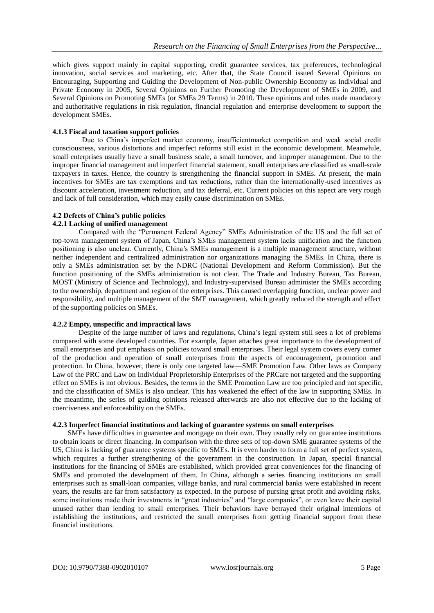which gives support mainly in capital supporting, credit guarantee services, tax preferences, technological innovation, social services and marketing, etc. After that, the State Council issued Several Opinions on Encouraging, Supporting and Guiding the Development of Non-public Ownership Economy as Individual and Private Economy in 2005, Several Opinions on Further Promoting the Development of SMEs in 2009, and Several Opinions on Promoting SMEs (or SMEs 29 Terms) in 2010. These opinions and rules made mandatory and authoritative regulations in risk regulation, financial regulation and enterprise development to support the development SMEs.

#### **4.1.3 Fiscal and taxation support policies**

Due to China's imperfect market economy, insufficientmarket competition and weak social credit consciousness, various distortions and imperfect reforms still exist in the economic development. Meanwhile, small enterprises usually have a small business scale, a small turnover, and improper management. Due to the improper financial management and imperfect financial statement, small enterprises are classified as small-scale taxpayers in taxes. Hence, the country is strengthening the financial support in SMEs. At present, the main incentives for SMEs are tax exemptions and tax reductions, rather than the internationally-used incentives as discount acceleration, investment reduction, and tax deferral, etc. Current policies on this aspect are very rough and lack of full consideration, which may easily cause discrimination on SMEs.

## **4.2 Defects of China's public policies**

#### **4.2.1 Lacking of unified management**

Compared with the "Permanent Federal Agency" SMEs Administration of the US and the full set of top-town management system of Japan, China's SMEs management system lacks unification and the function positioning is also unclear. Currently, China's SMEs management is a multiple management structure, without neither independent and centralized administration nor organizations managing the SMEs. In China, there is only a SMEs administration set by the NDRC (National Development and Reform Commission). But the function positioning of the SMEs administration is not clear. The Trade and Industry Bureau, Tax Bureau, MOST (Ministry of Science and Technology), and Industry-supervised Bureau administer the SMEs according to the ownership, department and region of the enterprises. This caused overlapping function, unclear power and responsibility, and multiple management of the SME management, which greatly reduced the strength and effect of the supporting policies on SMEs.

#### **4.2.2 Empty, unspecific and impractical laws**

Despite of the large number of laws and regulations, China's legal system still sees a lot of problems compared with some developed countries. For example, Japan attaches great importance to the development of small enterprises and put emphasis on policies toward small enterprises. Their legal system covers every corner of the production and operation of small enterprises from the aspects of encouragement, promotion and protection. In China, however, there is only one targeted law—SME Promotion Law. Other laws as Company Law of the PRC and Law on Individual Proprietorship Enterprises of the PRCare not targeted and the supporting effect on SMEs is not obvious. Besides, the terms in the SME Promotion Law are too principled and not specific, and the classification of SMEs is also unclear. This has weakened the effect of the law in supporting SMEs. In the meantime, the series of guiding opinions released afterwards are also not effective due to the lacking of coerciveness and enforceability on the SMEs.

#### **4.2.3 Imperfect financial institutions and lacking of guarantee systems on small enterprises**

SMEs have difficulties in guarantee and mortgage on their own. They usually rely on guarantee institutions to obtain loans or direct financing. In comparison with the three sets of top-down SME guarantee systems of the US, China is lacking of guarantee systems specific to SMEs. It is even harder to form a full set of perfect system, which requires a further strengthening of the government in the construction. In Japan, special financial institutions for the financing of SMEs are established, which provided great conveniences for the financing of SMEs and promoted the development of them. In China, although a series financing institutions on small enterprises such as small-loan companies, village banks, and rural commercial banks were established in recent years, the results are far from satisfactory as expected. In the purpose of pursing great profit and avoiding risks, some institutions made their investments in "great industries" and "large companies", or even leave their capital unused rather than lending to small enterprises. Their behaviors have betrayed their original intentions of establishing the institutions, and restricted the small enterprises from getting financial support from these financial institutions.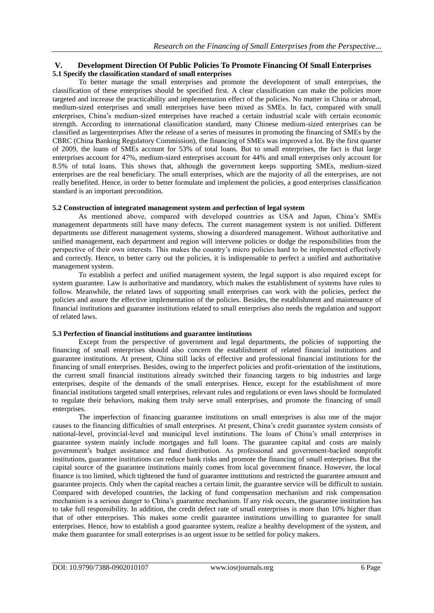# **V. Development Direction Of Public Policies To Promote Financing Of Small Enterprises 5.1 Specify the classification standard of small enterprises**

To better manage the small enterprises and promote the development of small enterprises, the classification of these enterprises should be specified first. A clear classification can make the policies more targeted and increase the practicability and implementation effect of the policies. No matter in China or abroad, medium-sized enterprises and small enterprises have been mixed as SMEs. In fact, compared with small enterprises, China's medium-sized enterprises have reached a certain industrial scale with certain economic strength. According to international classification standard, many Chinese medium-sized enterprises can be classified as largeenterprises After the release of a series of measures in promoting the financing of SMEs by the CBRC (China Banking Regulatory Commission), the financing of SMEs was improved a lot. By the first quarter of 2009, the loans of SMEs account for 53% of total loans. But to small enterprises, the fact is that large enterprises account for 47%, medium-sized enterprises account for 44% and small enterprises only account for 8.5% of total loans. This shows that, although the government keeps supporting SMEs, medium-sized enterprises are the real beneficiary. The small enterprises, which are the majority of all the enterprises, are not really benefited. Hence, in order to better formulate and implement the policies, a good enterprises classification standard is an important precondition.

#### **5.2 Construction of integrated management system and perfection of legal system**

As mentioned above, compared with developed countries as USA and Japan, China's SMEs management departments still have many defects. The current management system is not unified. Different departments use different management systems, showing a disordered management. Without authoritative and unified management, each department and region will intervene policies or dodge the responsibilities from the perspective of their own interests. This makes the country's micro policies hard to be implemented effectively and correctly. Hence, to better carry out the policies, it is indispensable to perfect a unified and authoritative management system.

To establish a perfect and unified management system, the legal support is also required except for system guarantee. Law is authoritative and mandatory, which makes the establishment of systems have rules to follow. Meanwhile, the related laws of supporting small enterprises can work with the policies, perfect the policies and assure the effective implementation of the policies. Besides, the establishment and maintenance of financial institutions and guarantee institutions related to small enterprises also needs the regulation and support of related laws.

#### **5.3 Perfection of financial institutions and guarantee institutions**

Except from the perspective of government and legal departments, the policies of supporting the financing of small enterprises should also concern the establishment of related financial institutions and guarantee institutions. At present, China still lacks of effective and professional financial institutions for the financing of small enterprises. Besides, owing to the imperfect policies and profit-orientation of the institutions, the current small financial institutions already switched their financing targets to big industries and large enterprises, despite of the demands of the small enterprises. Hence, except for the establishment of more financial institutions targeted small enterprises, relevant rules and regulations or even laws should be formulated to regulate their behaviors, making them truly serve small enterprises, and promote the financing of small enterprises.

The imperfection of financing guarantee institutions on small enterprises is also one of the major causes to the financing difficulties of small enterprises. At present, China's credit guarantee system consists of national-level, provincial-level and municipal level institutions. The loans of China's small enterprises in guarantee system mainly include mortgages and full loans. The guarantee capital and costs are mainly government's budget assistance and fund distribution. As professional and government-backed nonprofit institutions, guarantee institutions can reduce bank risks and promote the financing of small enterprises. But the capital source of the guarantee institutions mainly comes from local government finance. However, the local finance is too limited, which tightened the fund of guarantee institutions and restricted the guarantee amount and guarantee projects. Only when the capital reaches a certain limit, the guarantee service will be difficult to sustain. Compared with developed countries, the lacking of fund compensation mechanism and risk compensation mechanism is a serious danger to China's guarantee mechanism. If any risk occurs, the guarantee institution has to take full responsibility. In addition, the credit defect rate of small enterprises is more than 10% higher than that of other enterprises. This makes some credit guarantee institutions unwilling to guarantee for small enterprises. Hence, how to establish a good guarantee system, realize a healthy development of the system, and make them guarantee for small enterprises is an urgent issue to be settled for policy makers.